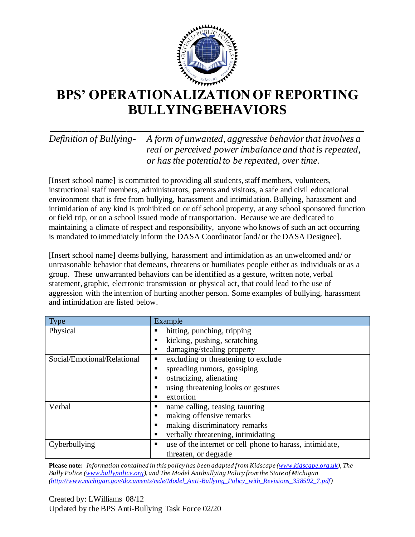

## **BPS' OPERATIONALIZATION OF REPORTING BULLYING BEHAVIORS**

### **\_\_\_\_\_\_\_\_\_\_\_\_\_\_\_\_\_\_\_\_\_\_\_\_\_\_\_\_\_\_\_\_\_\_\_\_\_\_\_\_\_\_\_\_\_\_** *Definition of Bullying- A form of unwanted, aggressive behavior that involves a real or perceived power imbalance and that is repeated, or has the potential to be repeated, over time.*

[Insert school name] is committed to providing all students, staff members, volunteers, instructional staff members, administrators, parents and visitors, a safe and civil educational environment that is free from bullying, harassment and intimidation. Bullying, harassment and intimidation of any kind is prohibited on or off school property, at any school sponsored function or field trip, or on a school issued mode of transportation. Because we are dedicated to maintaining a climate of respect and responsibility, anyone who knows of such an act occurring is mandated to immediately inform the DASA Coordinator [and/ or the DASA Designee].

[Insert school name] deems bullying, harassment and intimidation as an unwelcomed and/ or unreasonable behavior that demeans, threatens or humiliates people either as individuals or as a group. These unwarranted behaviors can be identified as a gesture, written note, verbal statement, graphic, electronic transmission or physical act, that could lead to the use of aggression with the intention of hurting another person. Some examples of bullying, harassment and intimidation are listed below.

| <b>Type</b>                 | Example                                                       |
|-----------------------------|---------------------------------------------------------------|
| Physical                    | hitting, punching, tripping<br>▪                              |
|                             | kicking, pushing, scratching<br>п                             |
|                             | damaging/stealing property<br>п                               |
| Social/Emotional/Relational | excluding or threatening to exclude<br>п                      |
|                             | spreading rumors, gossiping<br>п                              |
|                             | ostracizing, alienating<br>٠                                  |
|                             | using threatening looks or gestures<br>п                      |
|                             | extortion<br>п                                                |
| Verbal                      | name calling, teasing taunting<br>п                           |
|                             | making offensive remarks<br>п                                 |
|                             | making discriminatory remarks<br>п                            |
|                             | verbally threatening, intimidating<br>п                       |
| Cyberbullying               | use of the internet or cell phone to harass, intimidate,<br>п |
|                             | threaten, or degrade                                          |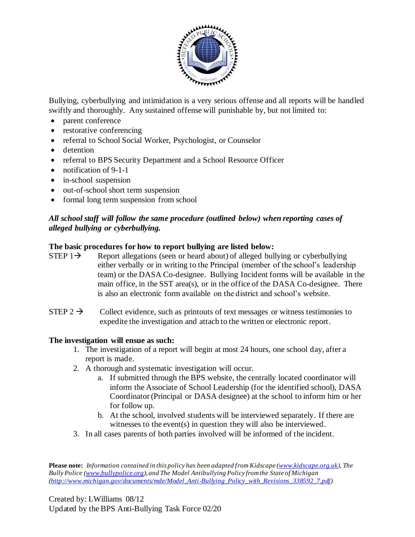

Bullying, cyberbullying and intimidation is a very serious offense and all reports will be handled swiftly and thoroughly. Any sustained offense will punishable by, but not limited to:

- parent conference
- restorative conferencing
- referral to School Social Worker, Psychologist, or Counselor
- detention
- referral to BPS Security Department and a School Resource Officer
- notification of 9-1-1
- in-school suspension
- out-of-school short term suspension
- formal long term suspension from school

#### *All school staff will follow the same procedure (outlined below) when reporting cases of alleged bullying or cyberbullying.*

#### **The basic procedures for how to report bullying are listed below:**

- STEP  $1\rightarrow$  Report allegations (seen or heard about) of alleged bullying or cyberbullying either verbally or in writing to the Principal (member of the school's leadership team) or the DASA Co-designee. Bullying Incident forms will be available in the main office, in the SST area(s), or in the office of the DASA Co-designee. There is also an electronic form available on the district and school's website.
- STEP  $2 \rightarrow$  Collect evidence, such as printouts of text messages or witness testimonies to expedite the investigation and attach to the written or electronic report.

#### **The investigation will ensue as such:**

- 1. The investigation of a report will begin at most 24 hours, one school day, after a report is made.
- 2. A thorough and systematic investigation will occur.
	- a. If submitted through the BPS website, the centrally located coordinator will inform the Associate of School Leadership (for the identified school), DASA Coordinator (Principal or DASA designee) at the school to inform him or her for follow up.
	- b. At the school, involved students will be interviewed separately. If there are witnesses to the event(s) in question they will also be interviewed.
- 3. In all cases parents of both parties involved will be informed of the incident.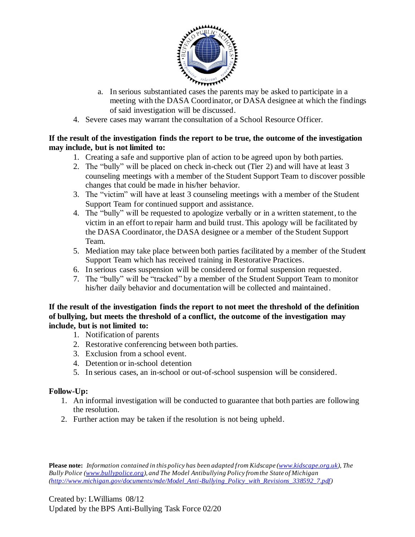

- a. In serious substantiated cases the parents may be asked to participate in a meeting with the DASA Coordinator, or DASA designee at which the findings of said investigation will be discussed.
- 4. Severe cases may warrant the consultation of a School Resource Officer.

#### **If the result of the investigation finds the report to be true, the outcome of the investigation may include, but is not limited to:**

- 1. Creating a safe and supportive plan of action to be agreed upon by both parties.
- 2. The "bully" will be placed on check in-check out (Tier 2) and will have at least 3 counseling meetings with a member of the Student Support Team to discover possible changes that could be made in his/her behavior.
- 3. The "victim" will have at least 3 counseling meetings with a member of the Student Support Team for continued support and assistance.
- 4. The "bully" will be requested to apologize verbally or in a written statement, to the victim in an effort to repair harm and build trust. This apology will be facilitated by the DASA Coordinator, the DASA designee or a member of the Student Support Team.
- 5. Mediation may take place between both parties facilitated by a member of the Student Support Team which has received training in Restorative Practices.
- 6. In serious cases suspension will be considered or formal suspension requested.
- 7. The "bully" will be "tracked" by a member of the Student Support Team to monitor his/her daily behavior and documentation will be collected and maintained.

#### **If the result of the investigation finds the report to not meet the threshold of the definition of bullying, but meets the threshold of a conflict, the outcome of the investigation may include, but is not limited to:**

- 1. Notification of parents
- 2. Restorative conferencing between both parties.
- 3. Exclusion from a school event.
- 4. Detention or in-school detention
- 5. In serious cases, an in-school or out-of-school suspension will be considered.

#### **Follow-Up:**

- 1. An informal investigation will be conducted to guarantee that both parties are following the resolution.
- 2. Further action may be taken if the resolution is not being upheld.